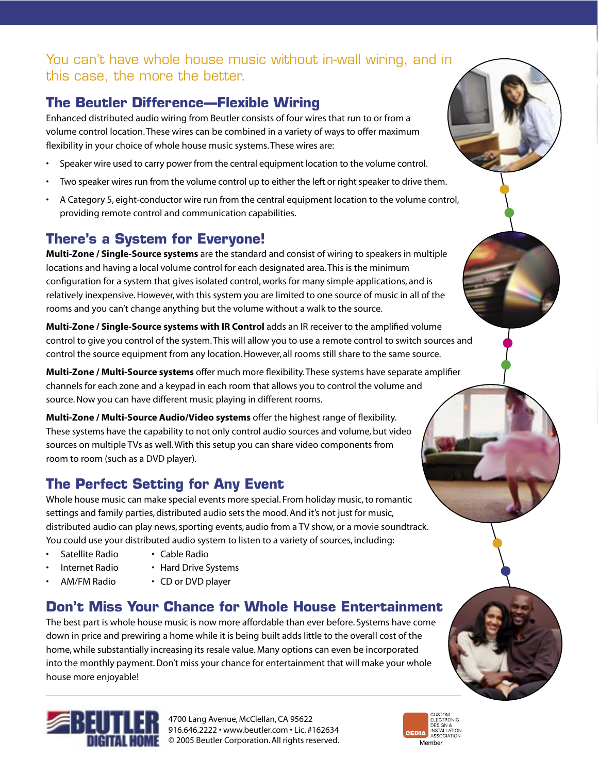# You can't have whole house music without in-wall wiring, and in this case, the more the better.

# **The Beutler Difference—Flexible Wiring**

Enhanced distributed audio wiring from Beutler consists of four wires that run to or from a volume control location. These wires can be combined in a variety of ways to offer maximum flexibility in your choice of whole house music systems. These wires are:

- Speaker wire used to carry power from the central equipment location to the volume control.
- Two speaker wires run from the volume control up to either the left or right speaker to drive them.
- A Category 5, eight-conductor wire run from the central equipment location to the volume control, providing remote control and communication capabilities.

# **There's a System for Everyone!**

**Multi-Zone / Single-Source systems** are the standard and consist of wiring to speakers in multiple locations and having a local volume control for each designated area. This is the minimum configuration for a system that gives isolated control, works for many simple applications, and is relatively inexpensive. However, with this system you are limited to one source of music in all of the rooms and you can't change anything but the volume without a walk to the source.

**Multi-Zone / Single-Source systems with IR Control** adds an IR receiver to the amplified volume control to give you control of the system. This will allow you to use a remote control to switch sources and control the source equipment from any location. However, all rooms still share to the same source.

**Multi-Zone / Multi-Source systems** offer much more flexibility. These systems have separate amplifier channels for each zone and a keypad in each room that allows you to control the volume and source. Now you can have different music playing in different rooms.

**Multi-Zone / Multi-Source Audio/Video systems** offer the highest range of flexibility. These systems have the capability to not only control audio sources and volume, but video sources on multiple TVs as well. With this setup you can share video components from room to room (such as a DVD player).

# **The Perfect Setting for Any Event**

Whole house music can make special events more special. From holiday music, to romantic settings and family parties, distributed audio sets the mood. And it's not just for music, distributed audio can play news, sporting events, audio from a TV show, or a movie soundtrack. You could use your distributed audio system to listen to a variety of sources, including:

- Satellite Radio Cable Radio
	-
- 
- 
- 
- Internet Radio Hard Drive Systems
	- AM/FM Radio CD or DVD player

# **Don't Miss Your Chance for Whole House Entertainment**

The best part is whole house music is now more affordable than ever before. Systems have come down in price and prewiring a home while it is being built adds little to the overall cost of the home, while substantially increasing its resale value. Many options can even be incorporated into the monthly payment. Don't miss your chance for entertainment that will make your whole house more enjoyable!



4700 Lang Avenue, McClellan, CA 95622 916.646.2222 • www.beutler.com • Lic. #162634 **■■** © 2005 Beutler Corporation. All rights reserved.

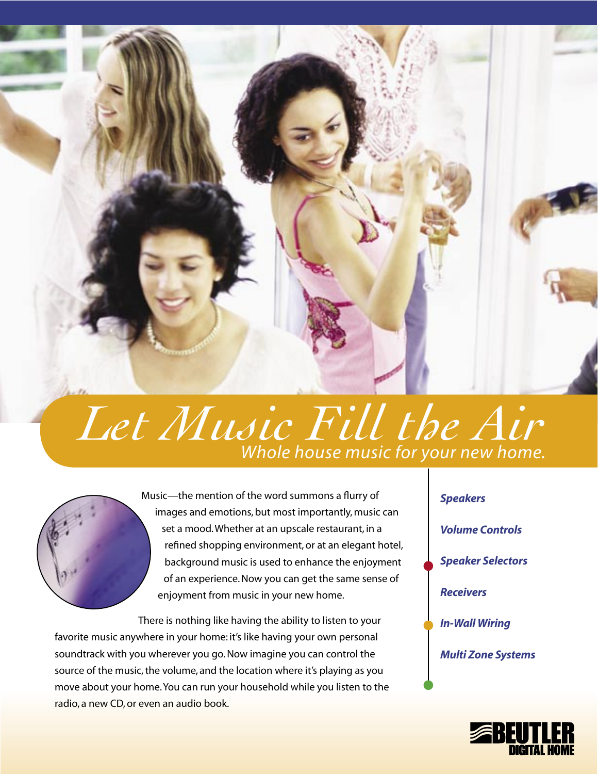

# *Let Music Fill the Air Whole house music for your new home.*



Music—the mention of the word summons a flurry of images and emotions, but most importantly, music can set a mood. Whether at an upscale restaurant, in a refined shopping environment, or at an elegant hotel, background music is used to enhance the enjoyment of an experience. Now you can get the same sense of enjoyment from music in your new home.

There is nothing like having the ability to listen to your favorite music anywhere in your home: it's like having your own personal soundtrack with you wherever you go. Now imagine you can control the source of the music, the volume, and the location where it's playing as you move about your home. You can run your household while you listen to the radio, a new CD, or even an audio book.



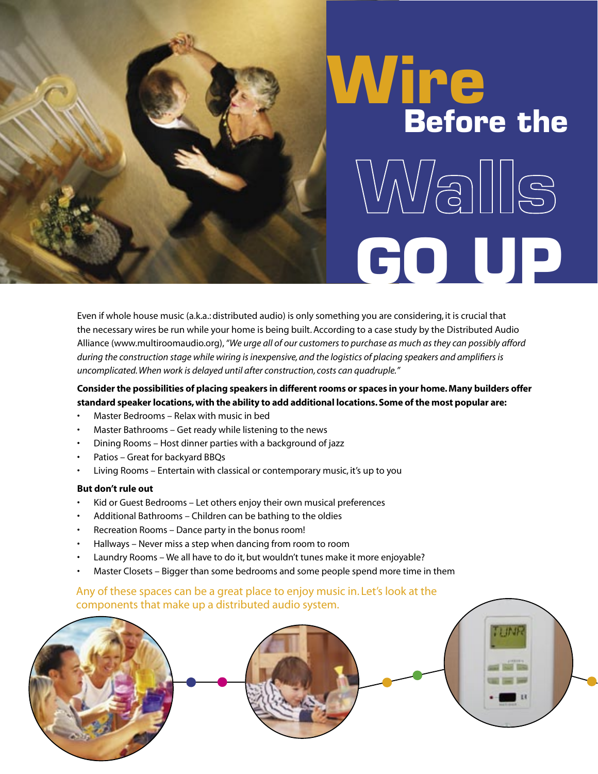# **Wire Before the**  $\sqrt{N/3}\sqrt{S}$ **GO UP**

Even if whole house music (a.k.a.: distributed audio) is only something you are considering, it is crucial that the necessary wires be run while your home is being built. According to a case study by the Distributed Audio Alliance (www.multiroomaudio.org), *"We urge all of our customers to purchase as much as they can possibly afford during the construction stage while wiring is inexpensive, and the logistics of placing speakers and amplifiers is uncomplicated. When work is delayed until after construction, costs can quadruple."*

# **Consider the possibilities of placing speakers in different rooms or spaces in your home. Many builders offer standard speaker locations, with the ability to add additional locations. Some of the most popular are:**

- Master Bedrooms Relax with music in bed
- Master Bathrooms Get ready while listening to the news
- Dining Rooms Host dinner parties with a background of jazz
- Patios Great for backyard BBQs
- Living Rooms Entertain with classical or contemporary music, it's up to you

#### **But don't rule out**

- Kid or Guest Bedrooms Let others enjoy their own musical preferences
- Additional Bathrooms Children can be bathing to the oldies
- Recreation Rooms Dance party in the bonus room!
- Hallways Never miss a step when dancing from room to room
- Laundry Rooms We all have to do it, but wouldn't tunes make it more enjoyable?
- Master Closets Bigger than some bedrooms and some people spend more time in them

# Any of these spaces can be a great place to enjoy music in. Let's look at the components that make up a distributed audio system.